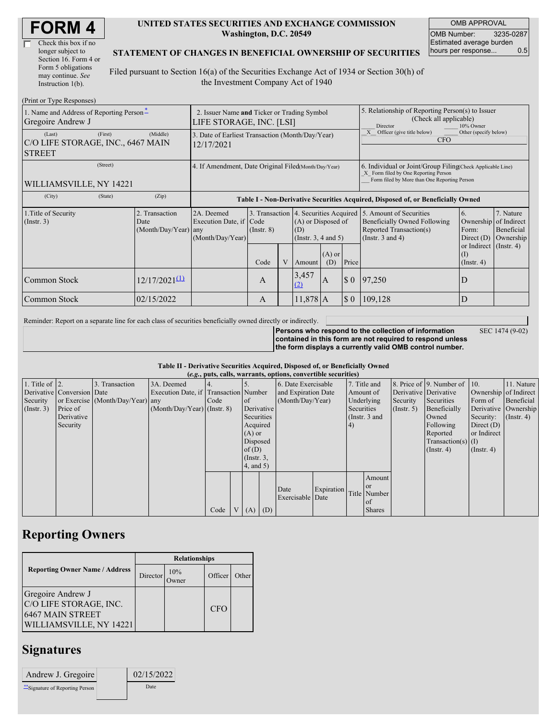| <b>FORM4</b> |
|--------------|
|--------------|

| Check this box if no  |
|-----------------------|
| longer subject to     |
| Section 16. Form 4 or |
| Form 5 obligations    |
| may continue. See     |
| Instruction 1(b).     |

 $(Drint or Trma D)$ 

#### **UNITED STATES SECURITIES AND EXCHANGE COMMISSION Washington, D.C. 20549**

OMB APPROVAL OMB Number: 3235-0287 Estimated average burden hours per response... 0.5

#### **STATEMENT OF CHANGES IN BENEFICIAL OWNERSHIP OF SECURITIES**

Filed pursuant to Section 16(a) of the Securities Exchange Act of 1934 or Section 30(h) of the Investment Company Act of 1940

| $(1 \text{ min of 1 ypc 1} \cup \text{protons})$<br>1. Name and Address of Reporting Person-<br>Gregoire Andrew J | 2. Issuer Name and Ticker or Trading Symbol<br>LIFE STORAGE, INC. [LSI] |                                                                                  |                 |                                                                     |              |                 | 5. Relationship of Reporting Person(s) to Issuer<br>(Check all applicable)<br>10% Owner<br>Director                                                                       |         |                                                     |  |
|-------------------------------------------------------------------------------------------------------------------|-------------------------------------------------------------------------|----------------------------------------------------------------------------------|-----------------|---------------------------------------------------------------------|--------------|-----------------|---------------------------------------------------------------------------------------------------------------------------------------------------------------------------|---------|-----------------------------------------------------|--|
| (First)<br>(Last)<br>C/O LIFE STORAGE, INC., 6467 MAIN<br><b>STREET</b>                                           | 3. Date of Earliest Transaction (Month/Day/Year)<br>12/17/2021          |                                                                                  |                 |                                                                     |              |                 | Officer (give title below)<br>Other (specify below)<br><b>CFO</b>                                                                                                         |         |                                                     |  |
| (Street)<br>WILLIAMSVILLE, NY 14221                                                                               | 4. If Amendment, Date Original Filed(Month/Day/Year)                    |                                                                                  |                 |                                                                     |              |                 | 6. Individual or Joint/Group Filing Check Applicable Line)<br>X Form filed by One Reporting Person<br>Form filed by More than One Reporting Person                        |         |                                                     |  |
| (City)<br>(State)                                                                                                 | (Zip)                                                                   | Table I - Non-Derivative Securities Acquired, Disposed of, or Beneficially Owned |                 |                                                                     |              |                 |                                                                                                                                                                           |         |                                                     |  |
| 1. Title of Security<br>$($ Instr. 3 $)$                                                                          | 2. Transaction<br>Date<br>(Month/Day/Year) any                          | 2A. Deemed<br>Execution Date, if Code<br>(Month/Day/Year)                        | $($ Instr. $8)$ | 3. Transaction<br>(A) or Disposed of<br>(D)<br>(Insert. 3, 4 and 5) |              |                 | 4. Securities Acquired 5. Amount of Securities<br>6.<br>Beneficially Owned Following<br>Ownership<br>Reported Transaction(s)<br>Form:<br>(Instr. 3 and 4)<br>Direct $(D)$ |         | 7. Nature<br>of Indirect<br>Beneficial<br>Ownership |  |
|                                                                                                                   |                                                                         |                                                                                  | Code            |                                                                     | Amount       | $(A)$ or<br>(D) | Price                                                                                                                                                                     |         | or Indirect $($ Instr. 4 $)$<br>$($ Instr. 4 $)$    |  |
| Common Stock                                                                                                      | $12/17/2021^{(1)}$                                                      |                                                                                  | A               |                                                                     | 3,457<br>(2) | A               | $\boldsymbol{\mathsf{S}}$ 0                                                                                                                                               | 97,250  | D                                                   |  |
| Common Stock                                                                                                      | 02/15/2022                                                              |                                                                                  | A               |                                                                     | $11,878$ A   |                 | $\S$ 0                                                                                                                                                                    | 109,128 | D                                                   |  |

Reminder: Report on a separate line for each class of securities beneficially owned directly or indirectly.

**Persons who respond to the collection of information contained in this form are not required to respond unless the form displays a currently valid OMB control number.**

SEC 1474 (9-02)

### **Table II - Derivative Securities Acquired, Disposed of, or Beneficially Owned**

| (e.g., puts, calls, warrants, options, convertible securities) |                            |                                  |                                       |      |  |                                    |                     |                          |            |              |                  |              |                              |                      |                       |
|----------------------------------------------------------------|----------------------------|----------------------------------|---------------------------------------|------|--|------------------------------------|---------------------|--------------------------|------------|--------------|------------------|--------------|------------------------------|----------------------|-----------------------|
| 1. Title of $\vert$ 2.                                         |                            | 3. Transaction                   | 3A. Deemed                            |      |  |                                    |                     | 6. Date Exercisable      |            | 7. Title and |                  |              | 8. Price of 9. Number of 10. |                      | 11. Nature            |
|                                                                | Derivative Conversion Date |                                  | Execution Date, if Transaction Number |      |  |                                    | and Expiration Date |                          |            | Amount of    |                  |              | Derivative Derivative        |                      | Ownership of Indirect |
| Security                                                       |                            | or Exercise (Month/Day/Year) any |                                       | Code |  | of of                              |                     | (Month/Day/Year)         |            |              | Underlying       | Security     | Securities                   | Form of              | Beneficial            |
| (Insert. 3)                                                    | Price of                   |                                  | $(Month/Day/Year)$ (Instr. 8)         |      |  |                                    | Derivative          |                          | Securities |              | $($ Instr. 5 $)$ | Beneficially |                              | Derivative Ownership |                       |
|                                                                | Derivative                 |                                  |                                       |      |  | Securities                         |                     | (Instr. 3 and            |            |              | Owned            | Security:    | $($ Instr. 4)                |                      |                       |
|                                                                | Security                   |                                  |                                       |      |  | Acquired                           |                     |                          |            | 4)           |                  |              | Following                    | Direct $(D)$         |                       |
|                                                                |                            |                                  |                                       |      |  | $(A)$ or                           |                     |                          |            |              |                  |              | Reported                     | or Indirect          |                       |
|                                                                |                            |                                  |                                       |      |  | Disposed                           |                     |                          |            |              |                  |              | $Transaction(s)$ (I)         |                      |                       |
|                                                                |                            |                                  |                                       |      |  | of(D)                              |                     |                          |            |              |                  |              | $($ Instr. 4 $)$             | $($ Instr. 4 $)$     |                       |
|                                                                |                            |                                  |                                       |      |  | $($ Instr. $3,$<br>$4$ , and $5$ ) |                     |                          |            |              |                  |              |                              |                      |                       |
|                                                                |                            |                                  |                                       |      |  |                                    |                     |                          |            |              |                  |              |                              |                      |                       |
|                                                                |                            |                                  |                                       |      |  |                                    |                     |                          |            |              | Amount           |              |                              |                      |                       |
|                                                                |                            |                                  |                                       |      |  |                                    |                     |                          |            |              | <sub>or</sub>    |              |                              |                      |                       |
|                                                                |                            |                                  |                                       |      |  |                                    |                     | Date<br>Exercisable Date | Expiration |              | Title Number     |              |                              |                      |                       |
|                                                                |                            |                                  |                                       |      |  |                                    |                     |                          |            |              | l of             |              |                              |                      |                       |
|                                                                |                            |                                  |                                       | Code |  | V(A)                               | (D)                 |                          |            |              | <b>Shares</b>    |              |                              |                      |                       |

### **Reporting Owners**

|                                                                                            | <b>Relationships</b> |                     |            |       |  |  |  |  |
|--------------------------------------------------------------------------------------------|----------------------|---------------------|------------|-------|--|--|--|--|
| <b>Reporting Owner Name / Address</b>                                                      | Director             | 10%<br><b>Twner</b> | Officer    | Other |  |  |  |  |
| Gregoire Andrew J<br>C/O LIFE STORAGE, INC.<br>6467 MAIN STREET<br>WILLIAMSVILLE, NY 14221 |                      |                     | <b>CFO</b> |       |  |  |  |  |

# **Signatures**

| Andrew J. Gregoire            | 02/15/2022 |  |
|-------------------------------|------------|--|
| Signature of Reporting Person | Date       |  |